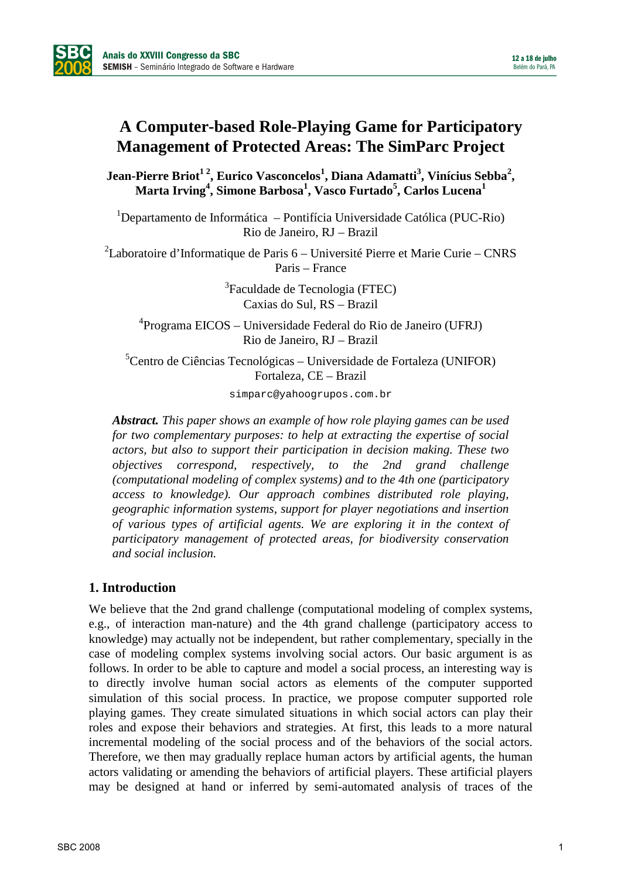

# **A Computer-based Role-Playing Game for Participatory Management of Protected Areas: The SimParc Project**

**Jean-Pierre Briot1 2, Eurico Vasconcelos<sup>1</sup> , Diana Adamatti<sup>3</sup> , Vinícius Sebba<sup>2</sup> , Marta Irving<sup>4</sup> , Simone Barbosa<sup>1</sup> , Vasco Furtado<sup>5</sup> , Carlos Lucena<sup>1</sup>**

 $1$ Departamento de Informática – Pontifícia Universidade Católica (PUC-Rio) Rio de Janeiro, RJ – Brazil

<sup>2</sup>Laboratoire d'Informatique de Paris 6 – Université Pierre et Marie Curie – CNRS Paris – France

> <sup>3</sup>Faculdade de Tecnologia (FTEC) Caxias do Sul, RS – Brazil

4 Programa EICOS – Universidade Federal do Rio de Janeiro (UFRJ) Rio de Janeiro, RJ – Brazil

<sup>5</sup>Centro de Ciências Tecnológicas – Universidade de Fortaleza (UNIFOR) Fortaleza, CE – Brazil

simparc@yahoogrupos.com.br

*Abstract. This paper shows an example of how role playing games can be used for two complementary purposes: to help at extracting the expertise of social actors, but also to support their participation in decision making. These two objectives correspond, respectively, to the 2nd grand challenge (computational modeling of complex systems) and to the 4th one (participatory access to knowledge). Our approach combines distributed role playing, geographic information systems, support for player negotiations and insertion of various types of artificial agents. We are exploring it in the context of participatory management of protected areas, for biodiversity conservation and social inclusion.* 

# **1. Introduction**

We believe that the 2nd grand challenge (computational modeling of complex systems, e.g., of interaction man-nature) and the 4th grand challenge (participatory access to knowledge) may actually not be independent, but rather complementary, specially in the case of modeling complex systems involving social actors. Our basic argument is as follows. In order to be able to capture and model a social process, an interesting way is to directly involve human social actors as elements of the computer supported simulation of this social process. In practice, we propose computer supported role playing games. They create simulated situations in which social actors can play their roles and expose their behaviors and strategies. At first, this leads to a more natural incremental modeling of the social process and of the behaviors of the social actors. Therefore, we then may gradually replace human actors by artificial agents, the human actors validating or amending the behaviors of artificial players. These artificial players may be designed at hand or inferred by semi-automated analysis of traces of the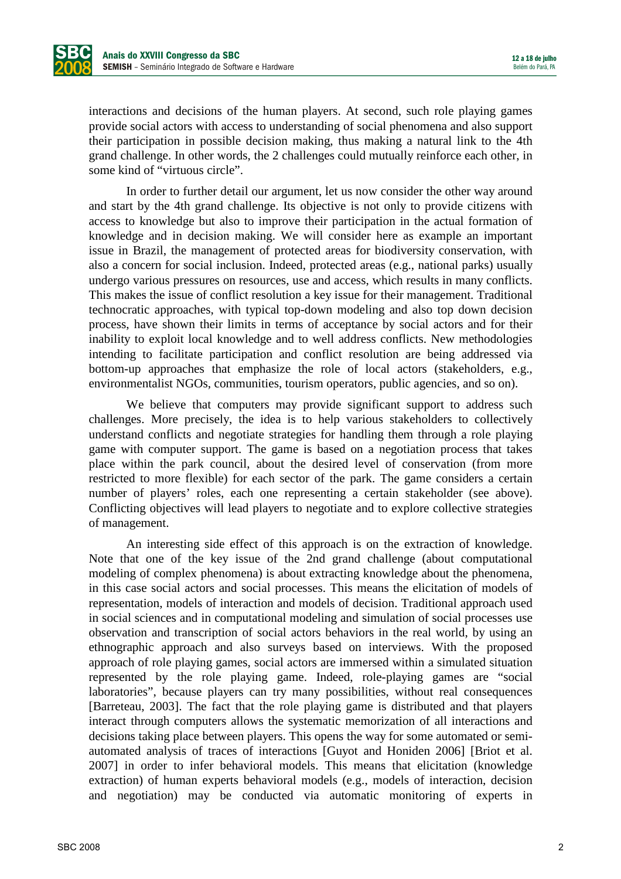interactions and decisions of the human players. At second, such role playing games provide social actors with access to understanding of social phenomena and also support their participation in possible decision making, thus making a natural link to the 4th grand challenge. In other words, the 2 challenges could mutually reinforce each other, in some kind of "virtuous circle".

 In order to further detail our argument, let us now consider the other way around and start by the 4th grand challenge. Its objective is not only to provide citizens with access to knowledge but also to improve their participation in the actual formation of knowledge and in decision making. We will consider here as example an important issue in Brazil, the management of protected areas for biodiversity conservation, with also a concern for social inclusion. Indeed, protected areas (e.g., national parks) usually undergo various pressures on resources, use and access, which results in many conflicts. This makes the issue of conflict resolution a key issue for their management. Traditional technocratic approaches, with typical top-down modeling and also top down decision process, have shown their limits in terms of acceptance by social actors and for their inability to exploit local knowledge and to well address conflicts. New methodologies intending to facilitate participation and conflict resolution are being addressed via bottom-up approaches that emphasize the role of local actors (stakeholders, e.g., environmentalist NGOs, communities, tourism operators, public agencies, and so on).

 We believe that computers may provide significant support to address such challenges. More precisely, the idea is to help various stakeholders to collectively understand conflicts and negotiate strategies for handling them through a role playing game with computer support. The game is based on a negotiation process that takes place within the park council, about the desired level of conservation (from more restricted to more flexible) for each sector of the park. The game considers a certain number of players' roles, each one representing a certain stakeholder (see above). Conflicting objectives will lead players to negotiate and to explore collective strategies of management.

 An interesting side effect of this approach is on the extraction of knowledge. Note that one of the key issue of the 2nd grand challenge (about computational modeling of complex phenomena) is about extracting knowledge about the phenomena, in this case social actors and social processes. This means the elicitation of models of representation, models of interaction and models of decision. Traditional approach used in social sciences and in computational modeling and simulation of social processes use observation and transcription of social actors behaviors in the real world, by using an ethnographic approach and also surveys based on interviews. With the proposed approach of role playing games, social actors are immersed within a simulated situation represented by the role playing game. Indeed, role-playing games are "social laboratories", because players can try many possibilities, without real consequences [Barreteau, 2003]. The fact that the role playing game is distributed and that players interact through computers allows the systematic memorization of all interactions and decisions taking place between players. This opens the way for some automated or semiautomated analysis of traces of interactions [Guyot and Honiden 2006] [Briot et al. 2007] in order to infer behavioral models. This means that elicitation (knowledge extraction) of human experts behavioral models (e.g., models of interaction, decision and negotiation) may be conducted via automatic monitoring of experts in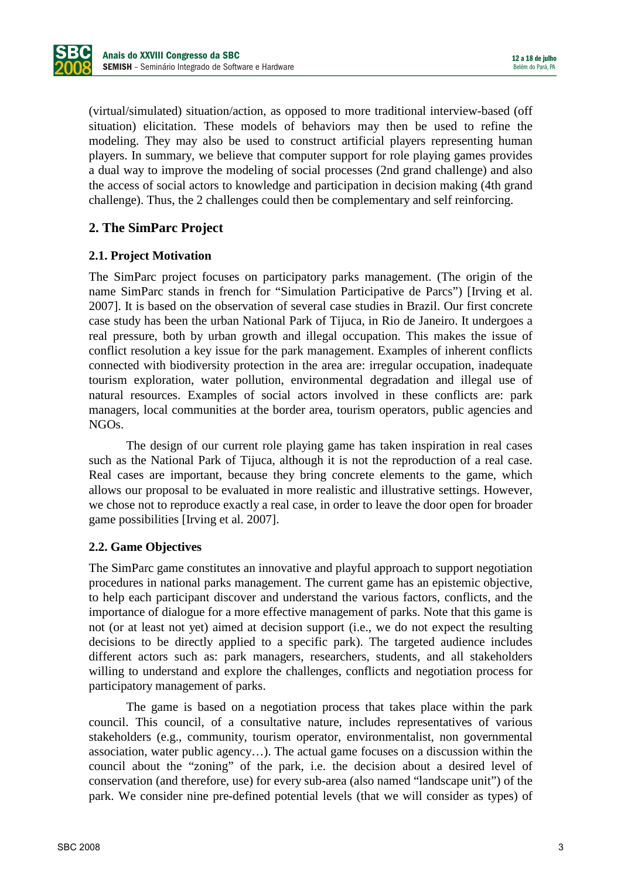

(virtual/simulated) situation/action, as opposed to more traditional interview-based (off situation) elicitation. These models of behaviors may then be used to refine the modeling. They may also be used to construct artificial players representing human players. In summary, we believe that computer support for role playing games provides a dual way to improve the modeling of social processes (2nd grand challenge) and also the access of social actors to knowledge and participation in decision making (4th grand challenge). Thus, the 2 challenges could then be complementary and self reinforcing.

# **2. The SimParc Project**

## **2.1. Project Motivation**

The SimParc project focuses on participatory parks management. (The origin of the name SimParc stands in french for "Simulation Participative de Parcs") [Irving et al. 2007]. It is based on the observation of several case studies in Brazil. Our first concrete case study has been the urban National Park of Tijuca, in Rio de Janeiro. It undergoes a real pressure, both by urban growth and illegal occupation. This makes the issue of conflict resolution a key issue for the park management. Examples of inherent conflicts connected with biodiversity protection in the area are: irregular occupation, inadequate tourism exploration, water pollution, environmental degradation and illegal use of natural resources. Examples of social actors involved in these conflicts are: park managers, local communities at the border area, tourism operators, public agencies and NGOs.

 The design of our current role playing game has taken inspiration in real cases such as the National Park of Tijuca, although it is not the reproduction of a real case. Real cases are important, because they bring concrete elements to the game, which allows our proposal to be evaluated in more realistic and illustrative settings. However, we chose not to reproduce exactly a real case, in order to leave the door open for broader game possibilities [Irving et al. 2007].

### **2.2. Game Objectives**

The SimParc game constitutes an innovative and playful approach to support negotiation procedures in national parks management. The current game has an epistemic objective, to help each participant discover and understand the various factors, conflicts, and the importance of dialogue for a more effective management of parks. Note that this game is not (or at least not yet) aimed at decision support (i.e., we do not expect the resulting decisions to be directly applied to a specific park). The targeted audience includes different actors such as: park managers, researchers, students, and all stakeholders willing to understand and explore the challenges, conflicts and negotiation process for participatory management of parks.

 The game is based on a negotiation process that takes place within the park council. This council, of a consultative nature, includes representatives of various stakeholders (e.g., community, tourism operator, environmentalist, non governmental association, water public agency…). The actual game focuses on a discussion within the council about the "zoning" of the park, i.e. the decision about a desired level of conservation (and therefore, use) for every sub-area (also named "landscape unit") of the park. We consider nine pre-defined potential levels (that we will consider as types) of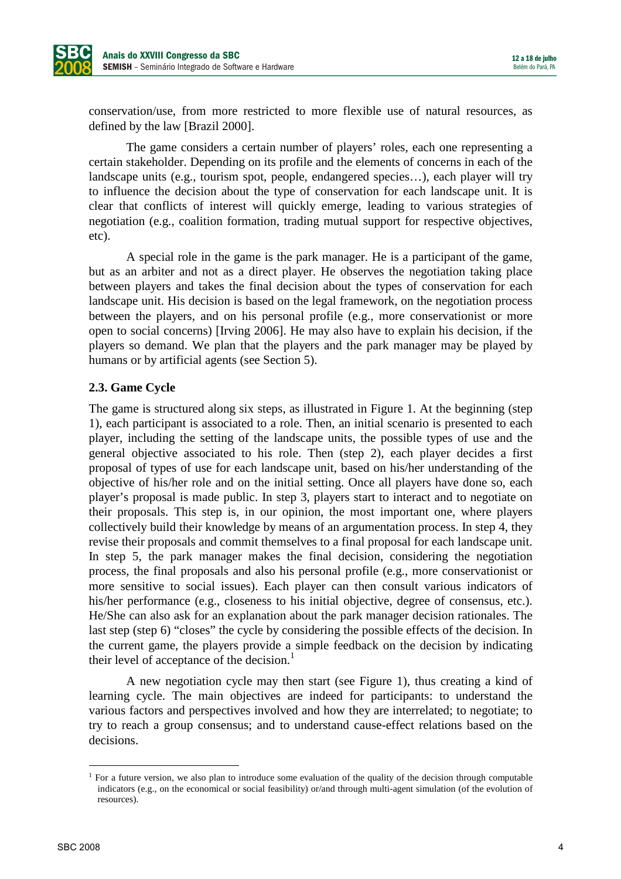

conservation/use, from more restricted to more flexible use of natural resources, as defined by the law [Brazil 2000].

 The game considers a certain number of players' roles, each one representing a certain stakeholder. Depending on its profile and the elements of concerns in each of the landscape units (e.g., tourism spot, people, endangered species…), each player will try to influence the decision about the type of conservation for each landscape unit. It is clear that conflicts of interest will quickly emerge, leading to various strategies of negotiation (e.g., coalition formation, trading mutual support for respective objectives, etc).

 A special role in the game is the park manager. He is a participant of the game, but as an arbiter and not as a direct player. He observes the negotiation taking place between players and takes the final decision about the types of conservation for each landscape unit. His decision is based on the legal framework, on the negotiation process between the players, and on his personal profile (e.g., more conservationist or more open to social concerns) [Irving 2006]. He may also have to explain his decision, if the players so demand. We plan that the players and the park manager may be played by humans or by artificial agents (see Section 5).

### **2.3. Game Cycle**

The game is structured along six steps, as illustrated in Figure 1. At the beginning (step 1), each participant is associated to a role. Then, an initial scenario is presented to each player, including the setting of the landscape units, the possible types of use and the general objective associated to his role. Then (step 2), each player decides a first proposal of types of use for each landscape unit, based on his/her understanding of the objective of his/her role and on the initial setting. Once all players have done so, each player's proposal is made public. In step 3, players start to interact and to negotiate on their proposals. This step is, in our opinion, the most important one, where players collectively build their knowledge by means of an argumentation process. In step 4, they revise their proposals and commit themselves to a final proposal for each landscape unit. In step 5, the park manager makes the final decision, considering the negotiation process, the final proposals and also his personal profile (e.g., more conservationist or more sensitive to social issues). Each player can then consult various indicators of his/her performance (e.g., closeness to his initial objective, degree of consensus, etc.). He/She can also ask for an explanation about the park manager decision rationales. The last step (step 6) "closes" the cycle by considering the possible effects of the decision. In the current game, the players provide a simple feedback on the decision by indicating their level of acceptance of the decision.<sup>1</sup>

 A new negotiation cycle may then start (see Figure 1), thus creating a kind of learning cycle. The main objectives are indeed for participants: to understand the various factors and perspectives involved and how they are interrelated; to negotiate; to try to reach a group consensus; and to understand cause-effect relations based on the decisions.

 $\overline{a}$ <sup>1</sup> For a future version, we also plan to introduce some evaluation of the quality of the decision through computable indicators (e.g., on the economical or social feasibility) or/and through multi-agent simulation (of the evolution of resources).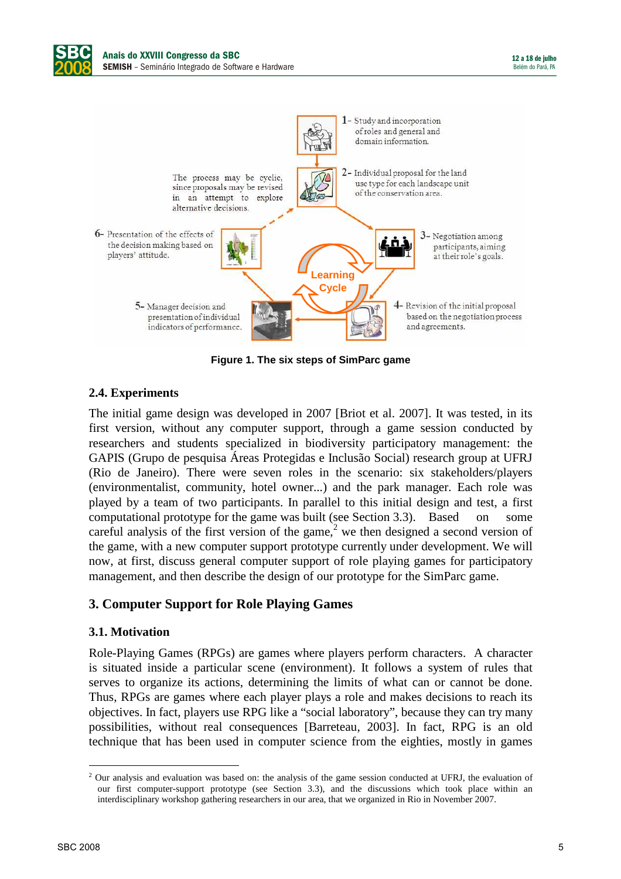

**Figure 1. The six steps of SimParc game** 

# **2.4. Experiments**

The initial game design was developed in 2007 [Briot et al. 2007]. It was tested, in its first version, without any computer support, through a game session conducted by researchers and students specialized in biodiversity participatory management: the GAPIS (Grupo de pesquisa Áreas Protegidas e Inclusão Social) research group at UFRJ (Rio de Janeiro). There were seven roles in the scenario: six stakeholders/players (environmentalist, community, hotel owner...) and the park manager. Each role was played by a team of two participants. In parallel to this initial design and test, a first computational prototype for the game was built (see Section 3.3). Based on some careful analysis of the first version of the game,<sup>2</sup> we then designed a second version of the game, with a new computer support prototype currently under development. We will now, at first, discuss general computer support of role playing games for participatory management, and then describe the design of our prototype for the SimParc game.

# **3. Computer Support for Role Playing Games**

#### **3.1. Motivation**

Role-Playing Games (RPGs) are games where players perform characters. A character is situated inside a particular scene (environment). It follows a system of rules that serves to organize its actions, determining the limits of what can or cannot be done. Thus, RPGs are games where each player plays a role and makes decisions to reach its objectives. In fact, players use RPG like a "social laboratory", because they can try many possibilities, without real consequences [Barreteau, 2003]. In fact, RPG is an old technique that has been used in computer science from the eighties, mostly in games

 $\overline{a}$ <sup>2</sup> Our analysis and evaluation was based on: the analysis of the game session conducted at UFRJ, the evaluation of our first computer-support prototype (see Section 3.3), and the discussions which took place within an interdisciplinary workshop gathering researchers in our area, that we organized in Rio in November 2007.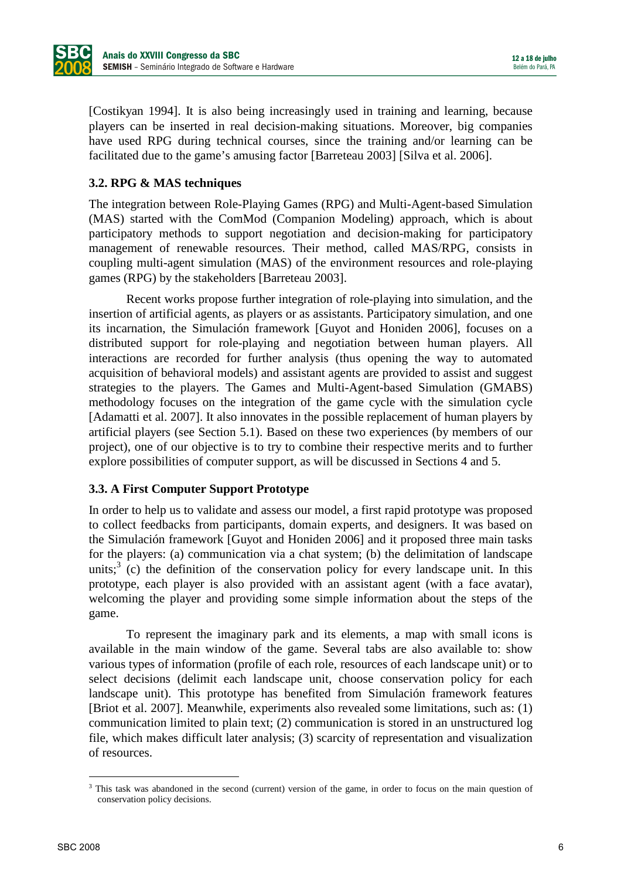

[Costikyan 1994]. It is also being increasingly used in training and learning, because players can be inserted in real decision-making situations. Moreover, big companies have used RPG during technical courses, since the training and/or learning can be facilitated due to the game's amusing factor [Barreteau 2003] [Silva et al. 2006].

### **3.2. RPG & MAS techniques**

The integration between Role-Playing Games (RPG) and Multi-Agent-based Simulation (MAS) started with the ComMod (Companion Modeling) approach, which is about participatory methods to support negotiation and decision-making for participatory management of renewable resources. Their method, called MAS/RPG, consists in coupling multi-agent simulation (MAS) of the environment resources and role-playing games (RPG) by the stakeholders [Barreteau 2003].

 Recent works propose further integration of role-playing into simulation, and the insertion of artificial agents, as players or as assistants. Participatory simulation, and one its incarnation, the Simulación framework [Guyot and Honiden 2006], focuses on a distributed support for role-playing and negotiation between human players. All interactions are recorded for further analysis (thus opening the way to automated acquisition of behavioral models) and assistant agents are provided to assist and suggest strategies to the players. The Games and Multi-Agent-based Simulation (GMABS) methodology focuses on the integration of the game cycle with the simulation cycle [Adamatti et al. 2007]. It also innovates in the possible replacement of human players by artificial players (see Section 5.1). Based on these two experiences (by members of our project), one of our objective is to try to combine their respective merits and to further explore possibilities of computer support, as will be discussed in Sections 4 and 5.

### **3.3. A First Computer Support Prototype**

In order to help us to validate and assess our model, a first rapid prototype was proposed to collect feedbacks from participants, domain experts, and designers. It was based on the Simulación framework [Guyot and Honiden 2006] and it proposed three main tasks for the players: (a) communication via a chat system; (b) the delimitation of landscape units;<sup>3</sup> (c) the definition of the conservation policy for every landscape unit. In this prototype, each player is also provided with an assistant agent (with a face avatar), welcoming the player and providing some simple information about the steps of the game.

 To represent the imaginary park and its elements, a map with small icons is available in the main window of the game. Several tabs are also available to: show various types of information (profile of each role, resources of each landscape unit) or to select decisions (delimit each landscape unit, choose conservation policy for each landscape unit). This prototype has benefited from Simulación framework features [Briot et al. 2007]. Meanwhile, experiments also revealed some limitations, such as: (1) communication limited to plain text; (2) communication is stored in an unstructured log file, which makes difficult later analysis; (3) scarcity of representation and visualization of resources.

 $\overline{a}$ 

<sup>&</sup>lt;sup>3</sup> This task was abandoned in the second (current) version of the game, in order to focus on the main question of conservation policy decisions.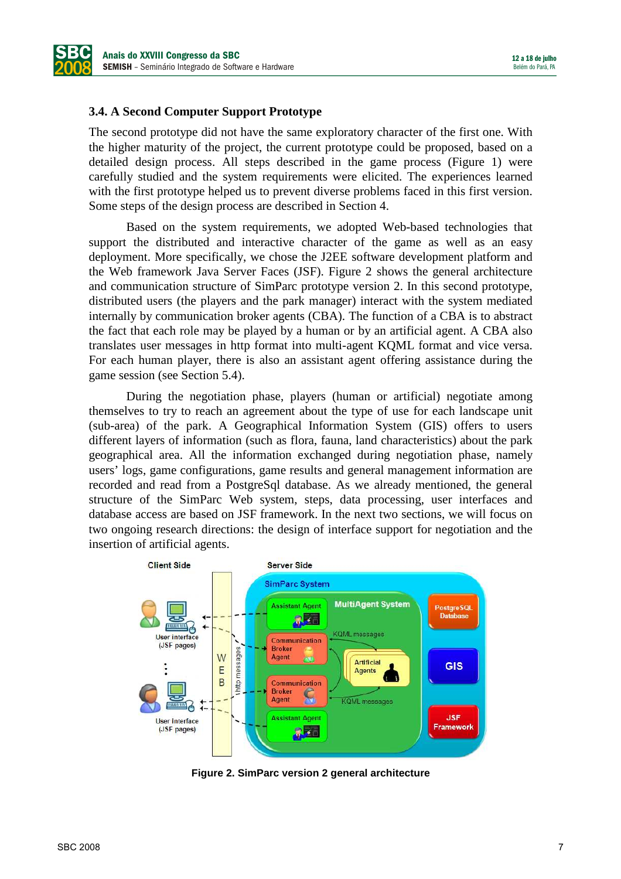

#### **3.4. A Second Computer Support Prototype**

The second prototype did not have the same exploratory character of the first one. With the higher maturity of the project, the current prototype could be proposed, based on a detailed design process. All steps described in the game process (Figure 1) were carefully studied and the system requirements were elicited. The experiences learned with the first prototype helped us to prevent diverse problems faced in this first version. Some steps of the design process are described in Section 4.

 Based on the system requirements, we adopted Web-based technologies that support the distributed and interactive character of the game as well as an easy deployment. More specifically, we chose the J2EE software development platform and the Web framework Java Server Faces (JSF). Figure 2 shows the general architecture and communication structure of SimParc prototype version 2. In this second prototype, distributed users (the players and the park manager) interact with the system mediated internally by communication broker agents (CBA). The function of a CBA is to abstract the fact that each role may be played by a human or by an artificial agent. A CBA also translates user messages in http format into multi-agent KQML format and vice versa. For each human player, there is also an assistant agent offering assistance during the game session (see Section 5.4).

 During the negotiation phase, players (human or artificial) negotiate among themselves to try to reach an agreement about the type of use for each landscape unit (sub-area) of the park. A Geographical Information System (GIS) offers to users different layers of information (such as flora, fauna, land characteristics) about the park geographical area. All the information exchanged during negotiation phase, namely users' logs, game configurations, game results and general management information are recorded and read from a PostgreSql database. As we already mentioned, the general structure of the SimParc Web system, steps, data processing, user interfaces and database access are based on JSF framework. In the next two sections, we will focus on two ongoing research directions: the design of interface support for negotiation and the insertion of artificial agents.



**Figure 2. SimParc version 2 general architecture**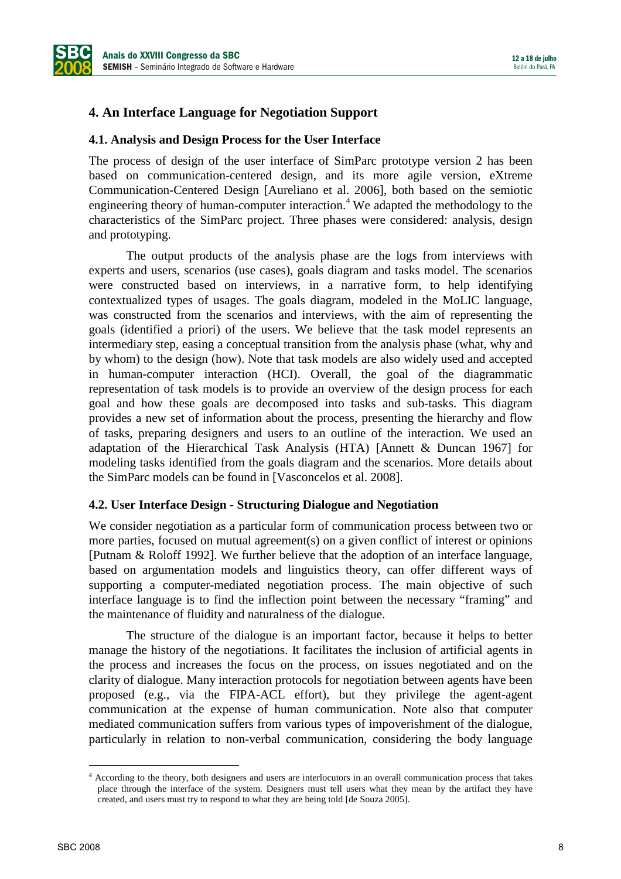

# **4. An Interface Language for Negotiation Support**

### **4.1. Analysis and Design Process for the User Interface**

The process of design of the user interface of SimParc prototype version 2 has been based on communication-centered design, and its more agile version, eXtreme Communication-Centered Design [Aureliano et al. 2006], both based on the semiotic engineering theory of human-computer interaction.<sup>4</sup> We adapted the methodology to the characteristics of the SimParc project. Three phases were considered: analysis, design and prototyping.

 The output products of the analysis phase are the logs from interviews with experts and users, scenarios (use cases), goals diagram and tasks model. The scenarios were constructed based on interviews, in a narrative form, to help identifying contextualized types of usages. The goals diagram, modeled in the MoLIC language, was constructed from the scenarios and interviews, with the aim of representing the goals (identified a priori) of the users. We believe that the task model represents an intermediary step, easing a conceptual transition from the analysis phase (what, why and by whom) to the design (how). Note that task models are also widely used and accepted in human-computer interaction (HCI). Overall, the goal of the diagrammatic representation of task models is to provide an overview of the design process for each goal and how these goals are decomposed into tasks and sub-tasks. This diagram provides a new set of information about the process, presenting the hierarchy and flow of tasks, preparing designers and users to an outline of the interaction. We used an adaptation of the Hierarchical Task Analysis (HTA) [Annett & Duncan 1967] for modeling tasks identified from the goals diagram and the scenarios. More details about the SimParc models can be found in [Vasconcelos et al. 2008].

#### **4.2. User Interface Design - Structuring Dialogue and Negotiation**

We consider negotiation as a particular form of communication process between two or more parties, focused on mutual agreement(s) on a given conflict of interest or opinions [Putnam & Roloff 1992]. We further believe that the adoption of an interface language, based on argumentation models and linguistics theory, can offer different ways of supporting a computer-mediated negotiation process. The main objective of such interface language is to find the inflection point between the necessary "framing" and the maintenance of fluidity and naturalness of the dialogue.

 The structure of the dialogue is an important factor, because it helps to better manage the history of the negotiations. It facilitates the inclusion of artificial agents in the process and increases the focus on the process, on issues negotiated and on the clarity of dialogue. Many interaction protocols for negotiation between agents have been proposed (e.g., via the FIPA-ACL effort), but they privilege the agent-agent communication at the expense of human communication. Note also that computer mediated communication suffers from various types of impoverishment of the dialogue, particularly in relation to non-verbal communication, considering the body language

 $\overline{a}$ 4 According to the theory, both designers and users are interlocutors in an overall communication process that takes place through the interface of the system. Designers must tell users what they mean by the artifact they have created, and users must try to respond to what they are being told [de Souza 2005].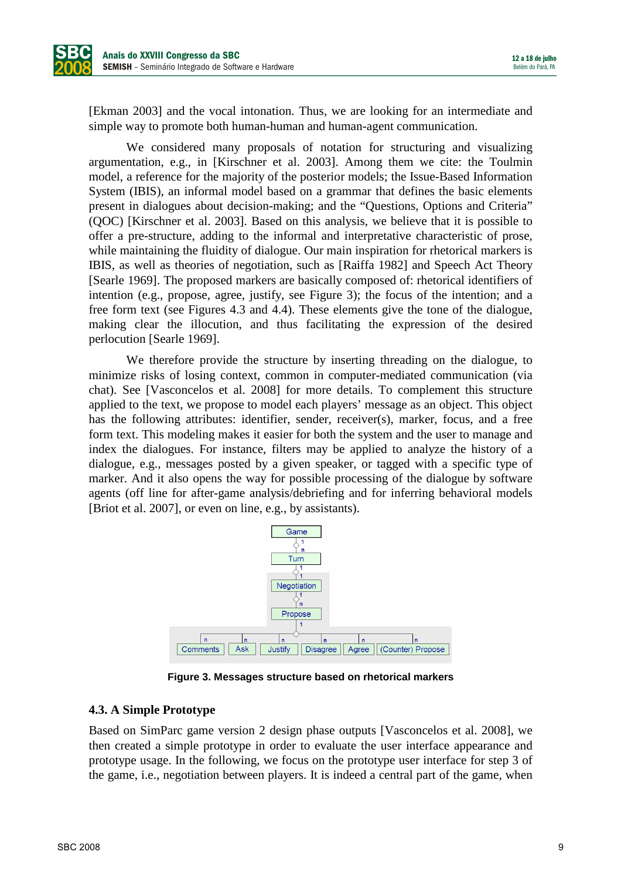

[Ekman 2003] and the vocal intonation. Thus, we are looking for an intermediate and simple way to promote both human-human and human-agent communication.

 We considered many proposals of notation for structuring and visualizing argumentation, e.g., in [Kirschner et al. 2003]. Among them we cite: the Toulmin model, a reference for the majority of the posterior models; the Issue-Based Information System (IBIS), an informal model based on a grammar that defines the basic elements present in dialogues about decision-making; and the "Questions, Options and Criteria" (QOC) [Kirschner et al. 2003]. Based on this analysis, we believe that it is possible to offer a pre-structure, adding to the informal and interpretative characteristic of prose, while maintaining the fluidity of dialogue. Our main inspiration for rhetorical markers is IBIS, as well as theories of negotiation, such as [Raiffa 1982] and Speech Act Theory [Searle 1969]. The proposed markers are basically composed of: rhetorical identifiers of intention (e.g., propose, agree, justify, see Figure 3); the focus of the intention; and a free form text (see Figures 4.3 and 4.4). These elements give the tone of the dialogue, making clear the illocution, and thus facilitating the expression of the desired perlocution [Searle 1969].

 We therefore provide the structure by inserting threading on the dialogue, to minimize risks of losing context, common in computer-mediated communication (via chat). See [Vasconcelos et al. 2008] for more details. To complement this structure applied to the text, we propose to model each players' message as an object. This object has the following attributes: identifier, sender, receiver(s), marker, focus, and a free form text. This modeling makes it easier for both the system and the user to manage and index the dialogues. For instance, filters may be applied to analyze the history of a dialogue, e.g., messages posted by a given speaker, or tagged with a specific type of marker. And it also opens the way for possible processing of the dialogue by software agents (off line for after-game analysis/debriefing and for inferring behavioral models [Briot et al. 2007], or even on line, e.g., by assistants).



**Figure 3. Messages structure based on rhetorical markers** 

#### **4.3. A Simple Prototype**

Based on SimParc game version 2 design phase outputs [Vasconcelos et al. 2008], we then created a simple prototype in order to evaluate the user interface appearance and prototype usage. In the following, we focus on the prototype user interface for step 3 of the game, i.e., negotiation between players. It is indeed a central part of the game, when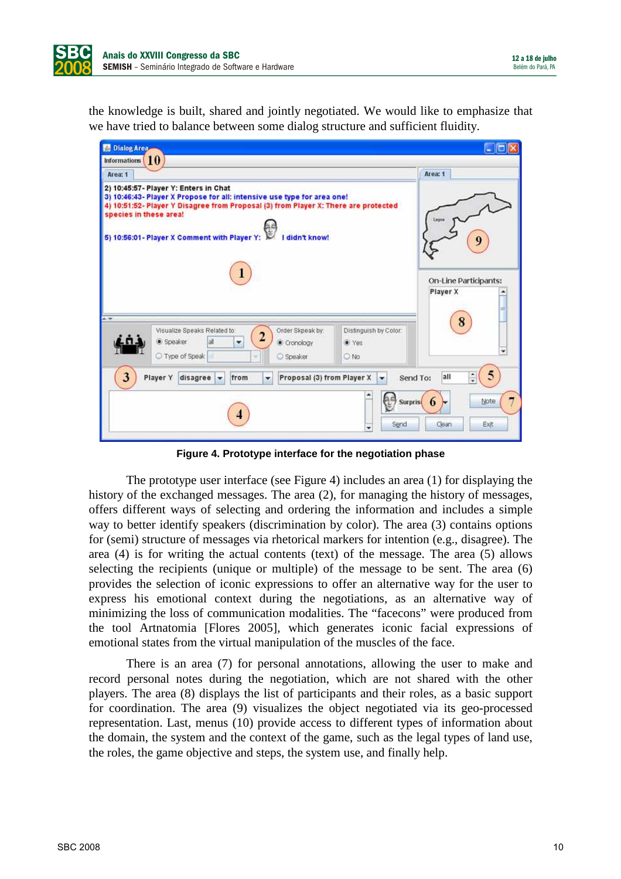

the knowledge is built, shared and jointly negotiated. We would like to emphasize that we have tried to balance between some dialog structure and sufficient fluidity.



**Figure 4. Prototype interface for the negotiation phase** 

 The prototype user interface (see Figure 4) includes an area (1) for displaying the history of the exchanged messages. The area (2), for managing the history of messages, offers different ways of selecting and ordering the information and includes a simple way to better identify speakers (discrimination by color). The area (3) contains options for (semi) structure of messages via rhetorical markers for intention (e.g., disagree). The area (4) is for writing the actual contents (text) of the message. The area (5) allows selecting the recipients (unique or multiple) of the message to be sent. The area (6) provides the selection of iconic expressions to offer an alternative way for the user to express his emotional context during the negotiations, as an alternative way of minimizing the loss of communication modalities. The "facecons" were produced from the tool Artnatomia [Flores 2005], which generates iconic facial expressions of emotional states from the virtual manipulation of the muscles of the face.

 There is an area (7) for personal annotations, allowing the user to make and record personal notes during the negotiation, which are not shared with the other players. The area (8) displays the list of participants and their roles, as a basic support for coordination. The area (9) visualizes the object negotiated via its geo-processed representation. Last, menus (10) provide access to different types of information about the domain, the system and the context of the game, such as the legal types of land use, the roles, the game objective and steps, the system use, and finally help.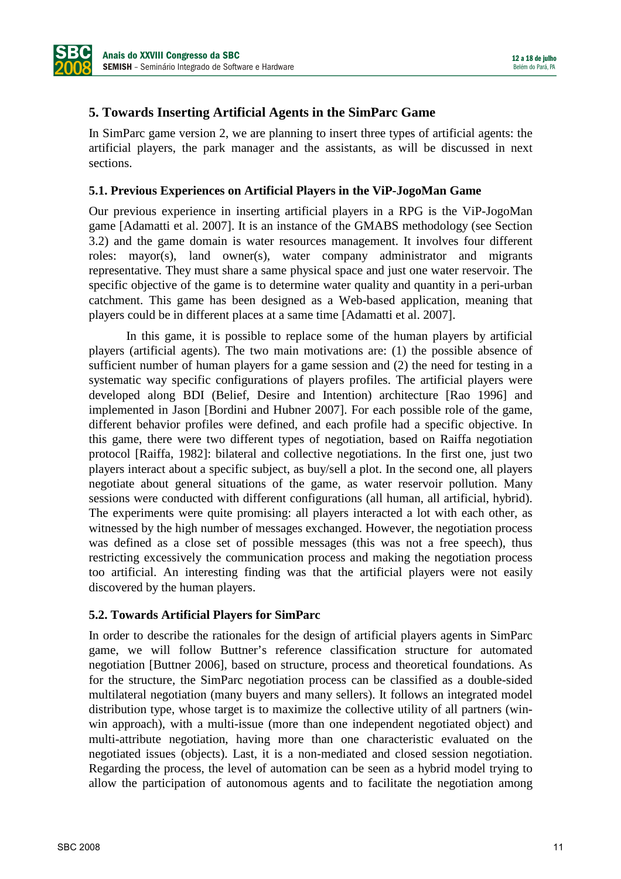

# **5. Towards Inserting Artificial Agents in the SimParc Game**

In SimParc game version 2, we are planning to insert three types of artificial agents: the artificial players, the park manager and the assistants, as will be discussed in next sections.

#### **5.1. Previous Experiences on Artificial Players in the ViP-JogoMan Game**

Our previous experience in inserting artificial players in a RPG is the ViP-JogoMan game [Adamatti et al. 2007]. It is an instance of the GMABS methodology (see Section 3.2) and the game domain is water resources management. It involves four different roles: mayor(s), land owner(s), water company administrator and migrants representative. They must share a same physical space and just one water reservoir. The specific objective of the game is to determine water quality and quantity in a peri-urban catchment. This game has been designed as a Web-based application, meaning that players could be in different places at a same time [Adamatti et al. 2007].

 In this game, it is possible to replace some of the human players by artificial players (artificial agents). The two main motivations are: (1) the possible absence of sufficient number of human players for a game session and (2) the need for testing in a systematic way specific configurations of players profiles. The artificial players were developed along BDI (Belief, Desire and Intention) architecture [Rao 1996] and implemented in Jason [Bordini and Hubner 2007]. For each possible role of the game, different behavior profiles were defined, and each profile had a specific objective. In this game, there were two different types of negotiation, based on Raiffa negotiation protocol [Raiffa, 1982]: bilateral and collective negotiations. In the first one, just two players interact about a specific subject, as buy/sell a plot. In the second one, all players negotiate about general situations of the game, as water reservoir pollution. Many sessions were conducted with different configurations (all human, all artificial, hybrid). The experiments were quite promising: all players interacted a lot with each other, as witnessed by the high number of messages exchanged. However, the negotiation process was defined as a close set of possible messages (this was not a free speech), thus restricting excessively the communication process and making the negotiation process too artificial. An interesting finding was that the artificial players were not easily discovered by the human players.

#### **5.2. Towards Artificial Players for SimParc**

In order to describe the rationales for the design of artificial players agents in SimParc game, we will follow Buttner's reference classification structure for automated negotiation [Buttner 2006], based on structure, process and theoretical foundations. As for the structure, the SimParc negotiation process can be classified as a double-sided multilateral negotiation (many buyers and many sellers). It follows an integrated model distribution type, whose target is to maximize the collective utility of all partners (winwin approach), with a multi-issue (more than one independent negotiated object) and multi-attribute negotiation, having more than one characteristic evaluated on the negotiated issues (objects). Last, it is a non-mediated and closed session negotiation. Regarding the process, the level of automation can be seen as a hybrid model trying to allow the participation of autonomous agents and to facilitate the negotiation among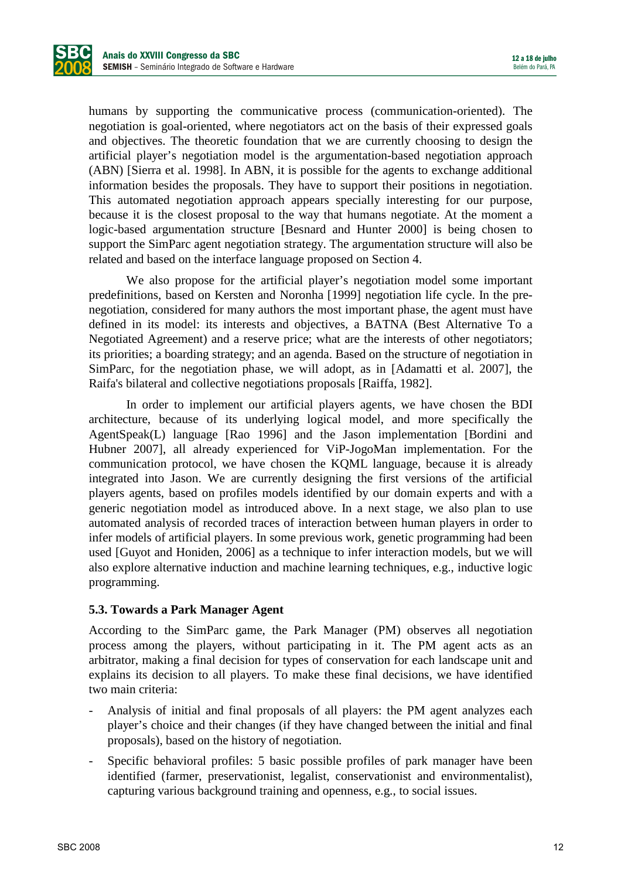

humans by supporting the communicative process (communication-oriented). The negotiation is goal-oriented, where negotiators act on the basis of their expressed goals and objectives. The theoretic foundation that we are currently choosing to design the artificial player's negotiation model is the argumentation-based negotiation approach (ABN) [Sierra et al. 1998]. In ABN, it is possible for the agents to exchange additional information besides the proposals. They have to support their positions in negotiation. This automated negotiation approach appears specially interesting for our purpose, because it is the closest proposal to the way that humans negotiate. At the moment a logic-based argumentation structure [Besnard and Hunter 2000] is being chosen to support the SimParc agent negotiation strategy. The argumentation structure will also be related and based on the interface language proposed on Section 4.

 We also propose for the artificial player's negotiation model some important predefinitions, based on Kersten and Noronha [1999] negotiation life cycle. In the prenegotiation, considered for many authors the most important phase, the agent must have defined in its model: its interests and objectives, a BATNA (Best Alternative To a Negotiated Agreement) and a reserve price; what are the interests of other negotiators; its priorities; a boarding strategy; and an agenda. Based on the structure of negotiation in SimParc, for the negotiation phase, we will adopt, as in [Adamatti et al. 2007], the Raifa's bilateral and collective negotiations proposals [Raiffa, 1982].

 In order to implement our artificial players agents, we have chosen the BDI architecture, because of its underlying logical model, and more specifically the AgentSpeak(L) language [Rao 1996] and the Jason implementation [Bordini and Hubner 2007], all already experienced for ViP-JogoMan implementation. For the communication protocol, we have chosen the KQML language, because it is already integrated into Jason. We are currently designing the first versions of the artificial players agents, based on profiles models identified by our domain experts and with a generic negotiation model as introduced above. In a next stage, we also plan to use automated analysis of recorded traces of interaction between human players in order to infer models of artificial players. In some previous work, genetic programming had been used [Guyot and Honiden, 2006] as a technique to infer interaction models, but we will also explore alternative induction and machine learning techniques, e.g., inductive logic programming.

#### **5.3. Towards a Park Manager Agent**

According to the SimParc game, the Park Manager (PM) observes all negotiation process among the players, without participating in it. The PM agent acts as an arbitrator, making a final decision for types of conservation for each landscape unit and explains its decision to all players. To make these final decisions, we have identified two main criteria:

- Analysis of initial and final proposals of all players: the PM agent analyzes each player's choice and their changes (if they have changed between the initial and final proposals), based on the history of negotiation.
- Specific behavioral profiles: 5 basic possible profiles of park manager have been identified (farmer, preservationist, legalist, conservationist and environmentalist), capturing various background training and openness, e.g., to social issues.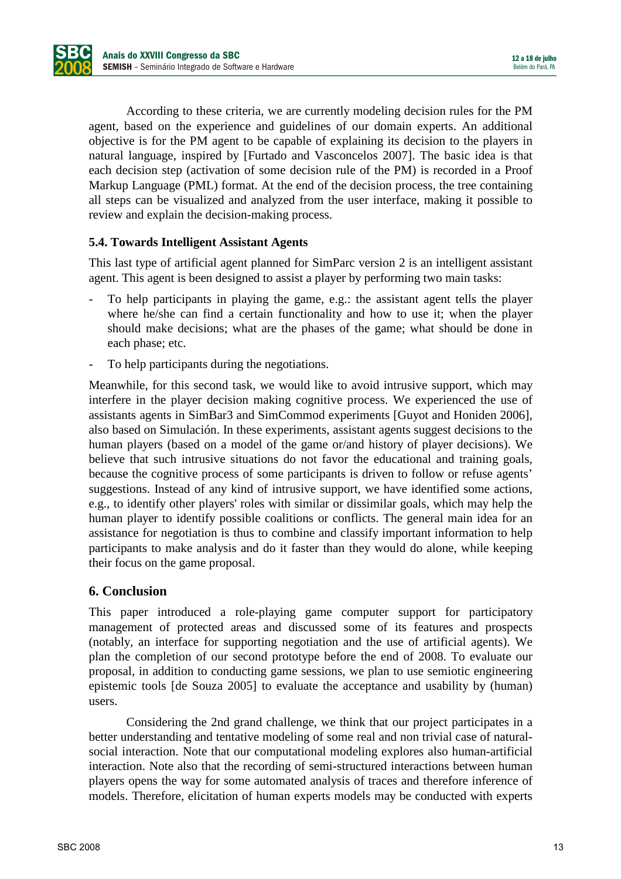

 According to these criteria, we are currently modeling decision rules for the PM agent, based on the experience and guidelines of our domain experts. An additional objective is for the PM agent to be capable of explaining its decision to the players in natural language, inspired by [Furtado and Vasconcelos 2007]. The basic idea is that each decision step (activation of some decision rule of the PM) is recorded in a Proof Markup Language (PML) format. At the end of the decision process, the tree containing all steps can be visualized and analyzed from the user interface, making it possible to review and explain the decision-making process.

### **5.4. Towards Intelligent Assistant Agents**

This last type of artificial agent planned for SimParc version 2 is an intelligent assistant agent. This agent is been designed to assist a player by performing two main tasks:

- To help participants in playing the game, e.g.: the assistant agent tells the player where he/she can find a certain functionality and how to use it; when the player should make decisions; what are the phases of the game; what should be done in each phase; etc.
- To help participants during the negotiations.

Meanwhile, for this second task, we would like to avoid intrusive support, which may interfere in the player decision making cognitive process. We experienced the use of assistants agents in SimBar3 and SimCommod experiments [Guyot and Honiden 2006], also based on Simulación. In these experiments, assistant agents suggest decisions to the human players (based on a model of the game or/and history of player decisions). We believe that such intrusive situations do not favor the educational and training goals, because the cognitive process of some participants is driven to follow or refuse agents' suggestions. Instead of any kind of intrusive support, we have identified some actions, e.g., to identify other players' roles with similar or dissimilar goals, which may help the human player to identify possible coalitions or conflicts. The general main idea for an assistance for negotiation is thus to combine and classify important information to help participants to make analysis and do it faster than they would do alone, while keeping their focus on the game proposal.

### **6. Conclusion**

This paper introduced a role-playing game computer support for participatory management of protected areas and discussed some of its features and prospects (notably, an interface for supporting negotiation and the use of artificial agents). We plan the completion of our second prototype before the end of 2008. To evaluate our proposal, in addition to conducting game sessions, we plan to use semiotic engineering epistemic tools [de Souza 2005] to evaluate the acceptance and usability by (human) users.

 Considering the 2nd grand challenge, we think that our project participates in a better understanding and tentative modeling of some real and non trivial case of naturalsocial interaction. Note that our computational modeling explores also human-artificial interaction. Note also that the recording of semi-structured interactions between human players opens the way for some automated analysis of traces and therefore inference of models. Therefore, elicitation of human experts models may be conducted with experts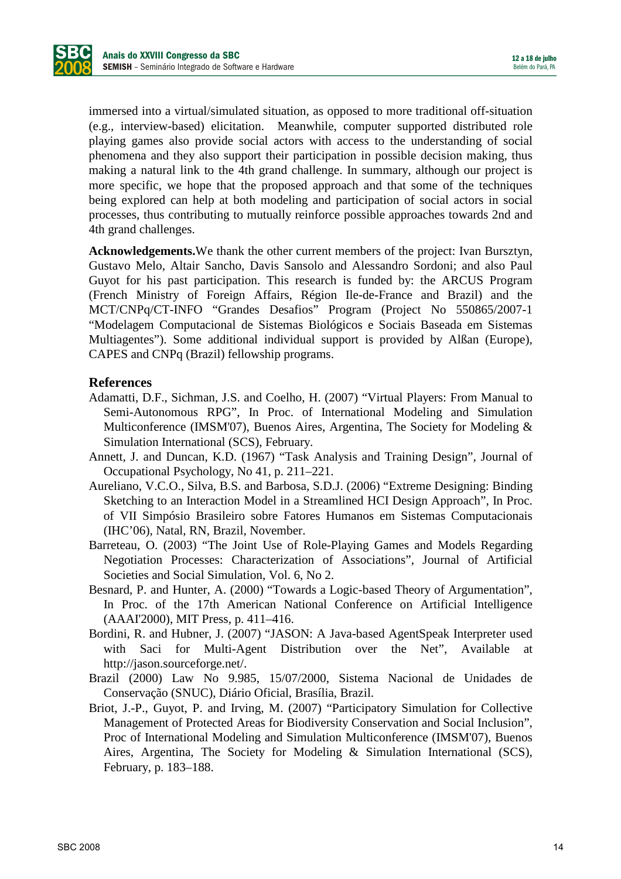

immersed into a virtual/simulated situation, as opposed to more traditional off-situation (e.g., interview-based) elicitation. Meanwhile, computer supported distributed role playing games also provide social actors with access to the understanding of social phenomena and they also support their participation in possible decision making, thus making a natural link to the 4th grand challenge. In summary, although our project is more specific, we hope that the proposed approach and that some of the techniques being explored can help at both modeling and participation of social actors in social processes, thus contributing to mutually reinforce possible approaches towards 2nd and 4th grand challenges.

**Acknowledgements.**We thank the other current members of the project: Ivan Bursztyn, Gustavo Melo, Altair Sancho, Davis Sansolo and Alessandro Sordoni; and also Paul Guyot for his past participation. This research is funded by: the ARCUS Program (French Ministry of Foreign Affairs, Région Ile-de-France and Brazil) and the MCT/CNPq/CT-INFO "Grandes Desafios" Program (Project No 550865/2007-1 "Modelagem Computacional de Sistemas Biológicos e Sociais Baseada em Sistemas Multiagentes"). Some additional individual support is provided by Alßan (Europe), CAPES and CNPq (Brazil) fellowship programs.

### **References**

- Adamatti, D.F., Sichman, J.S. and Coelho, H. (2007) "Virtual Players: From Manual to Semi-Autonomous RPG", In Proc. of International Modeling and Simulation Multiconference (IMSM'07), Buenos Aires, Argentina, The Society for Modeling & Simulation International (SCS), February.
- Annett, J. and Duncan, K.D. (1967) "Task Analysis and Training Design", Journal of Occupational Psychology, No 41, p. 211–221.
- Aureliano, V.C.O., Silva, B.S. and Barbosa, S.D.J. (2006) "Extreme Designing: Binding Sketching to an Interaction Model in a Streamlined HCI Design Approach", In Proc. of VII Simpósio Brasileiro sobre Fatores Humanos em Sistemas Computacionais (IHC'06), Natal, RN, Brazil, November.
- Barreteau, O. (2003) "The Joint Use of Role-Playing Games and Models Regarding Negotiation Processes: Characterization of Associations", Journal of Artificial Societies and Social Simulation, Vol. 6, No 2.
- Besnard, P. and Hunter, A. (2000) "Towards a Logic-based Theory of Argumentation", In Proc. of the 17th American National Conference on Artificial Intelligence (AAAI'2000), MIT Press, p. 411–416.
- Bordini, R. and Hubner, J. (2007) "JASON: A Java-based AgentSpeak Interpreter used with Saci for Multi-Agent Distribution over the Net", Available at http://jason.sourceforge.net/.
- Brazil (2000) Law No 9.985, 15/07/2000, Sistema Nacional de Unidades de Conservação (SNUC), Diário Oficial, Brasília, Brazil.
- Briot, J.-P., Guyot, P. and Irving, M. (2007) "Participatory Simulation for Collective Management of Protected Areas for Biodiversity Conservation and Social Inclusion", Proc of International Modeling and Simulation Multiconference (IMSM'07), Buenos Aires, Argentina, The Society for Modeling & Simulation International (SCS), February, p. 183–188.